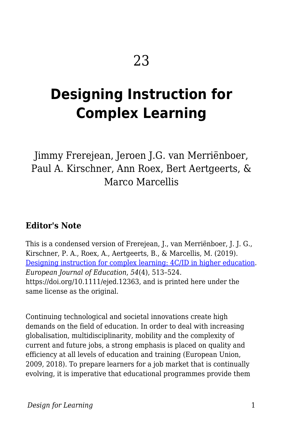# **Designing Instruction for Complex Learning**

Jimmy Frerejean, Jeroen J.G. van Merriënboer, Paul A. Kirschner, Ann Roex, Bert Aertgeerts, & Marco Marcellis

#### **Editor's Note**

This is a condensed version of Frerejean, J., van Merriënboer, J. J. G., Kirschner, P. A., Roex, A., Aertgeerts, B., & Marcellis, M. (2019). [Designing instruction for complex learning: 4C/ID in higher education.](https://onlinelibrary.wiley.com/doi/full/10.1111/ejed.12363) *European Journal of Education*, *54*(4), 513–524. https://doi.org/10.1111/ejed.12363, and is printed here under the same license as the original.

Continuing technological and societal innovations create high demands on the field of education. In order to deal with increasing globalisation, multidisciplinarity, mobility and the complexity of current and future jobs, a strong emphasis is placed on quality and efficiency at all levels of education and training (European Union, 2009, 2018). To prepare learners for a job market that is continually evolving, it is imperative that educational programmes provide them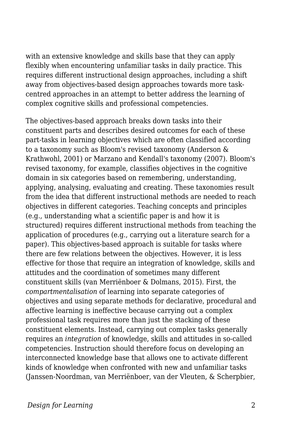with an extensive knowledge and skills base that they can apply flexibly when encountering unfamiliar tasks in daily practice. This requires different instructional design approaches, including a shift away from objectives‐based design approaches towards more task‐ centred approaches in an attempt to better address the learning of complex cognitive skills and professional competencies.

The objectives-based approach breaks down tasks into their constituent parts and describes desired outcomes for each of these part-tasks in learning objectives which are often classified according to a taxonomy such as Bloom's revised taxonomy (Anderson & Krathwohl, 2001) or Marzano and Kendall's taxonomy (2007). Bloom's revised taxonomy, for example, classifies objectives in the cognitive domain in six categories based on remembering, understanding, applying, analysing, evaluating and creating. These taxonomies result from the idea that different instructional methods are needed to reach objectives in different categories. Teaching concepts and principles (e.g., understanding what a scientific paper is and how it is structured) requires different instructional methods from teaching the application of procedures (e.g., carrying out a literature search for a paper). This objectives‐based approach is suitable for tasks where there are few relations between the objectives. However, it is less effective for those that require an integration of knowledge, skills and attitudes and the coordination of sometimes many different constituent skills (van Merriënboer & Dolmans, 2015). First, the *compartmentalisation* of learning into separate categories of objectives and using separate methods for declarative, procedural and affective learning is ineffective because carrying out a complex professional task requires more than just the stacking of these constituent elements. Instead, carrying out complex tasks generally requires an *integration* of knowledge, skills and attitudes in so-called competencies. Instruction should therefore focus on developing an interconnected knowledge base that allows one to activate different kinds of knowledge when confronted with new and unfamiliar tasks (Janssen‐Noordman, van Merriënboer, van der Vleuten, & Scherpbier,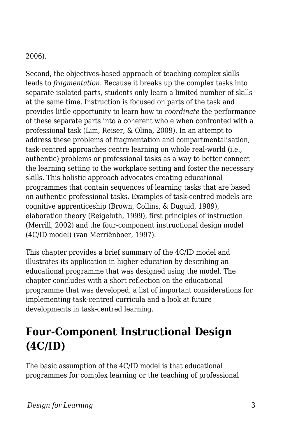#### 2006).

Second, the objectives-based approach of teaching complex skills leads to *fragmentation*. Because it breaks up the complex tasks into separate isolated parts, students only learn a limited number of skills at the same time. Instruction is focused on parts of the task and provides little opportunity to learn how to *coordinate* the performance of these separate parts into a coherent whole when confronted with a professional task (Lim, Reiser, & Olina, 2009). In an attempt to address these problems of fragmentation and compartmentalisation, task‐centred approaches centre learning on whole real‐world (i.e., authentic) problems or professional tasks as a way to better connect the learning setting to the workplace setting and foster the necessary skills. This holistic approach advocates creating educational programmes that contain sequences of learning tasks that are based on authentic professional tasks. Examples of task‐centred models are cognitive apprenticeship (Brown, Collins, & Duguid, 1989), elaboration theory (Reigeluth, 1999), first principles of instruction (Merrill, 2002) and the four‐component instructional design model (4C/ID model) (van Merriënboer, 1997).

This chapter provides a brief summary of the 4C/ID model and illustrates its application in higher education by describing an educational programme that was designed using the model. The chapter concludes with a short reflection on the educational programme that was developed, a list of important considerations for implementing task‐centred curricula and a look at future developments in task‐centred learning.

# **Four-Component Instructional Design (4C/ID)**

The basic assumption of the 4C/ID model is that educational programmes for complex learning or the teaching of professional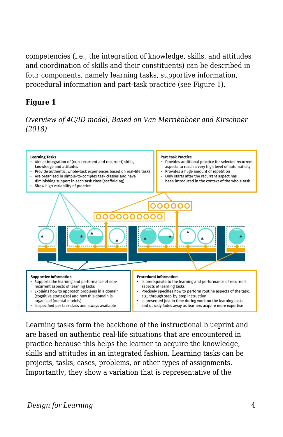competencies (i.e., the integration of knowledge, skills, and attitudes and coordination of skills and their constituents) can be described in four components, namely learning tasks, supportive information, procedural information and part‐task practice (see Figure 1).

#### **Figure 1**

*Overview of 4C/ID model, Based on Van Merriënboer and Kirschner (2018)*



Learning tasks form the backbone of the instructional blueprint and are based on authentic real‐life situations that are encountered in practice because this helps the learner to acquire the knowledge, skills and attitudes in an integrated fashion. Learning tasks can be projects, tasks, cases, problems, or other types of assignments. Importantly, they show a variation that is representative of the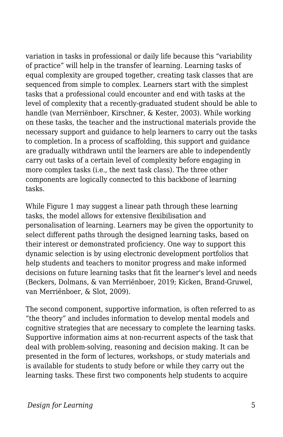variation in tasks in professional or daily life because this "variability of practice" will help in the transfer of learning. Learning tasks of equal complexity are grouped together, creating task classes that are sequenced from simple to complex. Learners start with the simplest tasks that a professional could encounter and end with tasks at the level of complexity that a recently‐graduated student should be able to handle (van Merriënboer, Kirschner, & Kester, 2003). While working on these tasks, the teacher and the instructional materials provide the necessary support and guidance to help learners to carry out the tasks to completion. In a process of scaffolding, this support and guidance are gradually withdrawn until the learners are able to independently carry out tasks of a certain level of complexity before engaging in more complex tasks (i.e., the next task class). The three other components are logically connected to this backbone of learning tasks.

While Figure 1 may suggest a linear path through these learning tasks, the model allows for extensive flexibilisation and personalisation of learning. Learners may be given the opportunity to select different paths through the designed learning tasks, based on their interest or demonstrated proficiency. One way to support this dynamic selection is by using electronic development portfolios that help students and teachers to monitor progress and make informed decisions on future learning tasks that fit the learner's level and needs (Beckers, Dolmans, & van Merriënboer, 2019; Kicken, Brand‐Gruwel, van Merriënboer, & Slot, 2009).

The second component, supportive information, is often referred to as "the theory" and includes information to develop mental models and cognitive strategies that are necessary to complete the learning tasks. Supportive information aims at non‐recurrent aspects of the task that deal with problem‐solving, reasoning and decision making. It can be presented in the form of lectures, workshops, or study materials and is available for students to study before or while they carry out the learning tasks. These first two components help students to acquire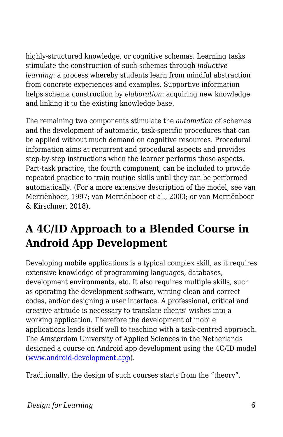highly‐structured knowledge, or cognitive schemas. Learning tasks stimulate the construction of such schemas through *inductive learning*: a process whereby students learn from mindful abstraction from concrete experiences and examples. Supportive information helps schema construction by *elaboration*: acquiring new knowledge and linking it to the existing knowledge base.

The remaining two components stimulate the *automation* of schemas and the development of automatic, task‐specific procedures that can be applied without much demand on cognitive resources. Procedural information aims at recurrent and procedural aspects and provides step-by-step instructions when the learner performs those aspects. Part-task practice, the fourth component, can be included to provide repeated practice to train routine skills until they can be performed automatically. (For a more extensive description of the model, see van Merriënboer, 1997; van Merriënboer et al., 2003; or van Merriënboer & Kirschner, 2018).

# **A 4C/ID Approach to a Blended Course in Android App Development**

Developing mobile applications is a typical complex skill, as it requires extensive knowledge of programming languages, databases, development environments, etc. It also requires multiple skills, such as operating the development software, writing clean and correct codes, and/or designing a user interface. A professional, critical and creative attitude is necessary to translate clients' wishes into a working application. Therefore the development of mobile applications lends itself well to teaching with a task‐centred approach. The Amsterdam University of Applied Sciences in the Netherlands designed a course on Android app development using the 4C/ID model ([www.android-development.app](http://www.android-development.app/)).

Traditionally, the design of such courses starts from the "theory".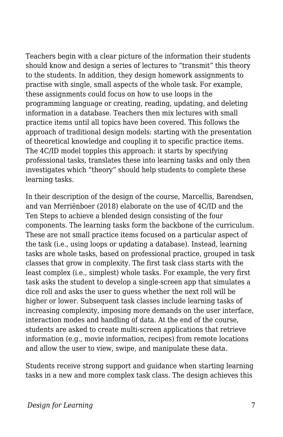Teachers begin with a clear picture of the information their students should know and design a series of lectures to "transmit" this theory to the students. In addition, they design homework assignments to practise with single, small aspects of the whole task. For example, these assignments could focus on how to use loops in the programming language or creating, reading, updating, and deleting information in a database. Teachers then mix lectures with small practice items until all topics have been covered. This follows the approach of traditional design models: starting with the presentation of theoretical knowledge and coupling it to specific practice items. The 4C/ID model topples this approach: it starts by specifying professional tasks, translates these into learning tasks and only then investigates which "theory" should help students to complete these learning tasks.

In their description of the design of the course, Marcellis, Barendsen, and van Merriënboer (2018) elaborate on the use of 4C/ID and the Ten Steps to achieve a blended design consisting of the four components. The learning tasks form the backbone of the curriculum. These are not small practice items focused on a particular aspect of the task (i.e., using loops or updating a database). Instead, learning tasks are whole tasks, based on professional practice, grouped in task classes that grow in complexity. The first task class starts with the least complex (i.e., simplest) whole tasks. For example, the very first task asks the student to develop a single‐screen app that simulates a dice roll and asks the user to guess whether the next roll will be higher or lower. Subsequent task classes include learning tasks of increasing complexity, imposing more demands on the user interface, interaction modes and handling of data. At the end of the course, students are asked to create multi‐screen applications that retrieve information (e.g., movie information, recipes) from remote locations and allow the user to view, swipe, and manipulate these data.

Students receive strong support and guidance when starting learning tasks in a new and more complex task class. The design achieves this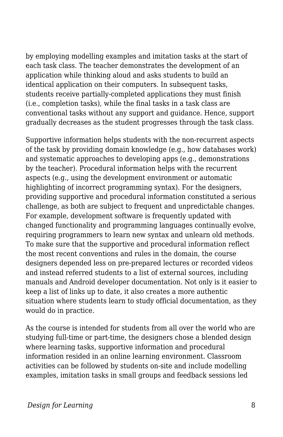by employing modelling examples and imitation tasks at the start of each task class. The teacher demonstrates the development of an application while thinking aloud and asks students to build an identical application on their computers. In subsequent tasks, students receive partially‐completed applications they must finish (i.e., completion tasks), while the final tasks in a task class are conventional tasks without any support and guidance. Hence, support gradually decreases as the student progresses through the task class.

Supportive information helps students with the non-recurrent aspects of the task by providing domain knowledge (e.g., how databases work) and systematic approaches to developing apps (e.g., demonstrations by the teacher). Procedural information helps with the recurrent aspects (e.g., using the development environment or automatic highlighting of incorrect programming syntax). For the designers, providing supportive and procedural information constituted a serious challenge, as both are subject to frequent and unpredictable changes. For example, development software is frequently updated with changed functionality and programming languages continually evolve, requiring programmers to learn new syntax and unlearn old methods. To make sure that the supportive and procedural information reflect the most recent conventions and rules in the domain, the course designers depended less on pre‐prepared lectures or recorded videos and instead referred students to a list of external sources, including manuals and Android developer documentation. Not only is it easier to keep a list of links up to date, it also creates a more authentic situation where students learn to study official documentation, as they would do in practice.

As the course is intended for students from all over the world who are studying full-time or part-time, the designers chose a blended design where learning tasks, supportive information and procedural information resided in an online learning environment. Classroom activities can be followed by students on‐site and include modelling examples, imitation tasks in small groups and feedback sessions led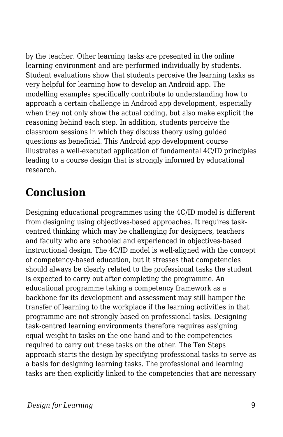by the teacher. Other learning tasks are presented in the online learning environment and are performed individually by students. Student evaluations show that students perceive the learning tasks as very helpful for learning how to develop an Android app. The modelling examples specifically contribute to understanding how to approach a certain challenge in Android app development, especially when they not only show the actual coding, but also make explicit the reasoning behind each step. In addition, students perceive the classroom sessions in which they discuss theory using guided questions as beneficial. This Android app development course illustrates a well‐executed application of fundamental 4C/ID principles leading to a course design that is strongly informed by educational research.

# **Conclusion**

Designing educational programmes using the 4C/ID model is different from designing using objectives-based approaches. It requires taskcentred thinking which may be challenging for designers, teachers and faculty who are schooled and experienced in objectives‐based instructional design. The 4C/ID model is well‐aligned with the concept of competency‐based education, but it stresses that competencies should always be clearly related to the professional tasks the student is expected to carry out after completing the programme. An educational programme taking a competency framework as a backbone for its development and assessment may still hamper the transfer of learning to the workplace if the learning activities in that programme are not strongly based on professional tasks. Designing task‐centred learning environments therefore requires assigning equal weight to tasks on the one hand and to the competencies required to carry out these tasks on the other. The Ten Steps approach starts the design by specifying professional tasks to serve as a basis for designing learning tasks. The professional and learning tasks are then explicitly linked to the competencies that are necessary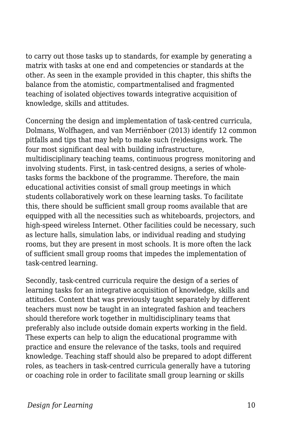to carry out those tasks up to standards, for example by generating a matrix with tasks at one end and competencies or standards at the other. As seen in the example provided in this chapter, this shifts the balance from the atomistic, compartmentalised and fragmented teaching of isolated objectives towards integrative acquisition of knowledge, skills and attitudes.

Concerning the design and implementation of task‐centred curricula, Dolmans, Wolfhagen, and van Merriënboer (2013) identify 12 common pitfalls and tips that may help to make such (re)designs work. The four most significant deal with building infrastructure, multidisciplinary teaching teams, continuous progress monitoring and involving students. First, in task-centred designs, a series of wholetasks forms the backbone of the programme. Therefore, the main educational activities consist of small group meetings in which students collaboratively work on these learning tasks. To facilitate this, there should be sufficient small group rooms available that are equipped with all the necessities such as whiteboards, projectors, and high-speed wireless Internet. Other facilities could be necessary, such as lecture halls, simulation labs, or individual reading and studying rooms, but they are present in most schools. It is more often the lack of sufficient small group rooms that impedes the implementation of task‐centred learning.

Secondly, task‐centred curricula require the design of a series of learning tasks for an integrative acquisition of knowledge, skills and attitudes. Content that was previously taught separately by different teachers must now be taught in an integrated fashion and teachers should therefore work together in multidisciplinary teams that preferably also include outside domain experts working in the field. These experts can help to align the educational programme with practice and ensure the relevance of the tasks, tools and required knowledge. Teaching staff should also be prepared to adopt different roles, as teachers in task‐centred curricula generally have a tutoring or coaching role in order to facilitate small group learning or skills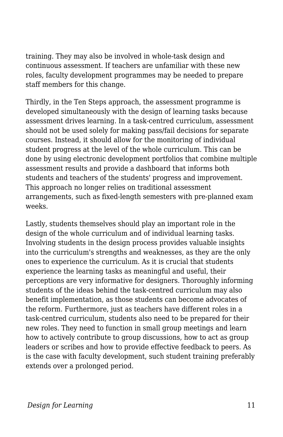training. They may also be involved in whole‐task design and continuous assessment. If teachers are unfamiliar with these new roles, faculty development programmes may be needed to prepare staff members for this change.

Thirdly, in the Ten Steps approach, the assessment programme is developed simultaneously with the design of learning tasks because assessment drives learning. In a task‐centred curriculum, assessment should not be used solely for making pass/fail decisions for separate courses. Instead, it should allow for the monitoring of individual student progress at the level of the whole curriculum. This can be done by using electronic development portfolios that combine multiple assessment results and provide a dashboard that informs both students and teachers of the students' progress and improvement. This approach no longer relies on traditional assessment arrangements, such as fixed‐length semesters with pre‐planned exam weeks.

Lastly, students themselves should play an important role in the design of the whole curriculum and of individual learning tasks. Involving students in the design process provides valuable insights into the curriculum's strengths and weaknesses, as they are the only ones to experience the curriculum. As it is crucial that students experience the learning tasks as meaningful and useful, their perceptions are very informative for designers. Thoroughly informing students of the ideas behind the task‐centred curriculum may also benefit implementation, as those students can become advocates of the reform. Furthermore, just as teachers have different roles in a task‐centred curriculum, students also need to be prepared for their new roles. They need to function in small group meetings and learn how to actively contribute to group discussions, how to act as group leaders or scribes and how to provide effective feedback to peers. As is the case with faculty development, such student training preferably extends over a prolonged period.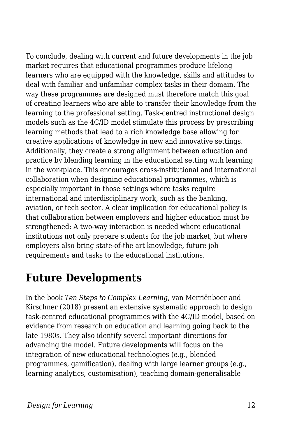To conclude, dealing with current and future developments in the job market requires that educational programmes produce lifelong learners who are equipped with the knowledge, skills and attitudes to deal with familiar and unfamiliar complex tasks in their domain. The way these programmes are designed must therefore match this goal of creating learners who are able to transfer their knowledge from the learning to the professional setting. Task‐centred instructional design models such as the 4C/ID model stimulate this process by prescribing learning methods that lead to a rich knowledge base allowing for creative applications of knowledge in new and innovative settings. Additionally, they create a strong alignment between education and practice by blending learning in the educational setting with learning in the workplace. This encourages cross‐institutional and international collaboration when designing educational programmes, which is especially important in those settings where tasks require international and interdisciplinary work, such as the banking, aviation, or tech sector. A clear implication for educational policy is that collaboration between employers and higher education must be strengthened: A two-way interaction is needed where educational institutions not only prepare students for the job market, but where employers also bring state‐of‐the art knowledge, future job requirements and tasks to the educational institutions.

### **Future Developments**

In the book *Ten Steps to Complex Learning*, van Merriënboer and Kirschner (2018) present an extensive systematic approach to design task‐centred educational programmes with the 4C/ID model, based on evidence from research on education and learning going back to the late 1980s. They also identify several important directions for advancing the model. Future developments will focus on the integration of new educational technologies (e.g., blended programmes, gamification), dealing with large learner groups (e.g., learning analytics, customisation), teaching domain‐generalisable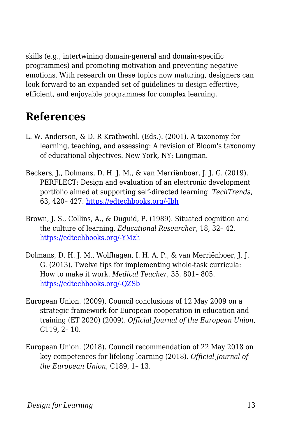skills (e.g., intertwining domain‐general and domain‐specific programmes) and promoting motivation and preventing negative emotions. With research on these topics now maturing, designers can look forward to an expanded set of guidelines to design effective, efficient, and enjoyable programmes for complex learning.

# **References**

- L. W. Anderson, & D. R Krathwohl. (Eds.). (2001). A taxonomy for learning, teaching, and assessing: A revision of Bloom's taxonomy of educational objectives. New York, NY: Longman.
- Beckers, J., Dolmans, D. H. J. M., & van Merriënboer, J. J. G. (2019). PERFLECT: Design and evaluation of an electronic development portfolio aimed at supporting self‐directed learning. *TechTrends*, 63, 420– 427. [https://edtechbooks.org/-Ibh](https://doi.org/10.1007/s11528-018-0354-x)
- Brown, J. S., Collins, A., & Duguid, P. (1989). Situated cognition and the culture of learning. *Educational Researcher*, 18, 32– 42. [https://edtechbooks.org/-YMzh](https://doi.org/10.3102/0013189X018001032)
- Dolmans, D. H. J. M., Wolfhagen, I. H. A. P., & van Merriënboer, J. J. G. (2013). Twelve tips for implementing whole‐task curricula: How to make it work. *Medical Teacher*, 35, 801– 805. [https://edtechbooks.org/-QZSb](https://doi.org/10.3109/0142159X.2013.799640)
- European Union. (2009). Council conclusions of 12 May 2009 on a strategic framework for European cooperation in education and training (ET 2020) (2009). *Official Journal of the European Union*, C119, 2– 10.
- European Union. (2018). Council recommendation of 22 May 2018 on key competences for lifelong learning (2018). *Official Journal of the European Union*, C189, 1– 13.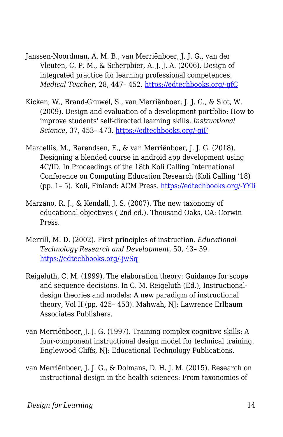- Janssen‐Noordman, A. M. B., van Merriënboer, J. J. G., van der Vleuten, C. P. M., & Scherpbier, A. J. J. A. (2006). Design of integrated practice for learning professional competences. *Medical Teacher*, 28, 447– 452. [https://edtechbooks.org/-gfC](https://doi.org/10.1080/01421590600825276)
- Kicken, W., Brand‐Gruwel, S., van Merriënboer, J. J. G., & Slot, W. (2009). Design and evaluation of a development portfolio: How to improve students' self‐directed learning skills. *Instructional Science*, 37, 453– 473. [https://edtechbooks.org/-giF](https://doi.org/10.1007/s11251-008-9058-5)
- Marcellis, M., Barendsen, E., & van Merriënboer, J. J. G. (2018). Designing a blended course in android app development using 4C/ID. In Proceedings of the 18th Koli Calling International Conference on Computing Education Research (Koli Calling '18) (pp. 1– 5). Koli, Finland: ACM Press. [https://edtechbooks.org/-YYIi](https://doi.org/10.1145/3279720.3279739)
- Marzano, R. J., & Kendall, J. S. (2007). The new taxonomy of educational objectives ( 2nd ed.). Thousand Oaks, CA: Corwin Press.
- Merrill, M. D. (2002). First principles of instruction. *Educational Technology Research and Development*, 50, 43– 59. [https://edtechbooks.org/-jwSq](https://doi.org/10.1007/BF02505024)
- Reigeluth, C. M. (1999). The elaboration theory: Guidance for scope and sequence decisions. In C. M. Reigeluth (Ed.), Instructional‐ design theories and models: A new paradigm of instructional theory, Vol II (pp. 425– 453). Mahwah, NJ: Lawrence Erlbaum Associates Publishers.
- van Merriënboer, J. J. G. (1997). Training complex cognitive skills: A four-component instructional design model for technical training. Englewood Cliffs, NJ: Educational Technology Publications.
- van Merriënboer, J. J. G., & Dolmans, D. H. J. M. (2015). Research on instructional design in the health sciences: From taxonomies of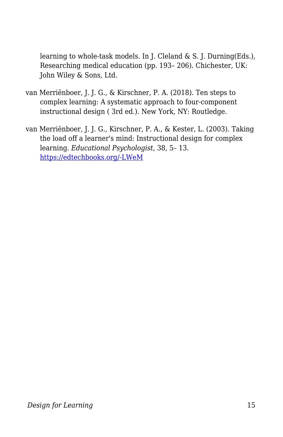learning to whole-task models. In J. Cleland & S. J. Durning(Eds.), Researching medical education (pp. 193– 206). Chichester, UK: John Wiley & Sons, Ltd.

- van Merriënboer, J. J. G., & Kirschner, P. A. (2018). Ten steps to complex learning: A systematic approach to four‐component instructional design ( 3rd ed.). New York, NY: Routledge.
- van Merriënboer, J. J. G., Kirschner, P. A., & Kester, L. (2003). Taking the load off a learner's mind: Instructional design for complex learning. *Educational Psychologist*, 38, 5– 13. [https://edtechbooks.org/-LWeM](https://doi.org/10.1207/S15326985EP3801_2)